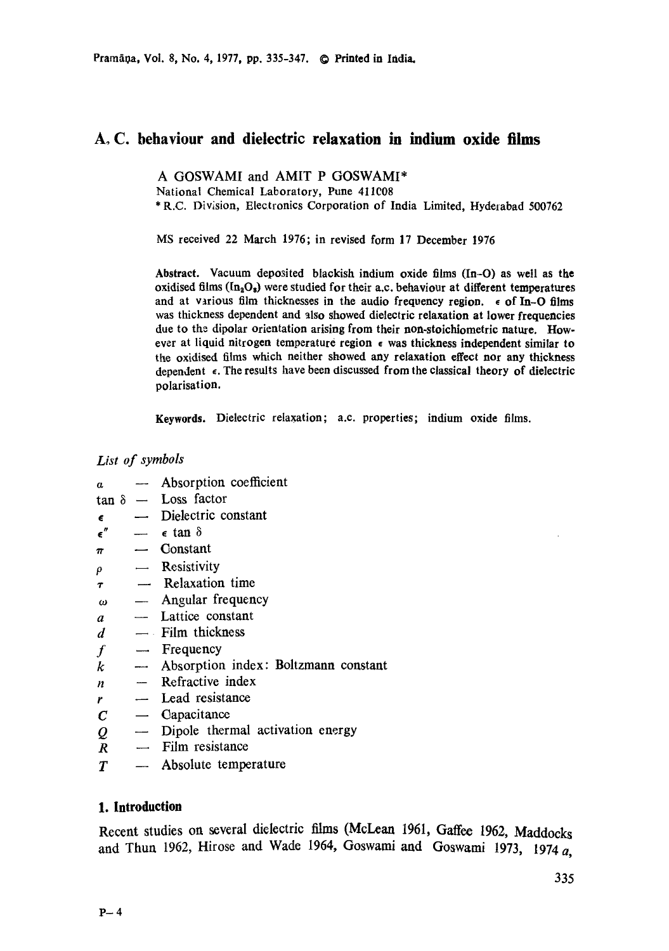# **A.C. behaviour and dielectric relaxation in indium oxide films**

A GOSWAMI and AMIT P GOSWAMI\* National Chemical Laboratory, Pune 411008 \* R.C. Division, Electronics Corporation of India Limited, Hyderabad 500762

MS received 22 March 1976; in revised form 17 December 1976

Abstract. Vacuum deposited blackish indium oxide films (In-O) as well as the oxidised films  $(\text{In}_a\text{O}_s)$  were studied for their a.c. behaviour at different temperatures and at various film thicknesses in the audio frequency region.  $\epsilon$  of In-O films was thickness dependent and also showed dielectric relaxation at lower frequencies due to the dipolar orientation arising from their non-stoichiometric nature. However at liquid nitrogen temperature region  $\epsilon$  was thickness independent similar to the oxidised films which neither showed any relaxation effect nor any thickness dependent  $\epsilon$ . The results have been discussed from the classical theory of dielectric polarisation.

Keywords. Dielectric relaxation; a.c. properties; indium oxide films.

## *List of symbols*

- $a$  -- Absorption coefficient
- $\tan \delta$  Loss factor
- -- Dielectric constant  $\epsilon$
- $\epsilon$ "  $\epsilon$  tan  $\delta$
- $\pi$  -- Constant
- $\rho$  --- Resistivity
- $\tau$  -- Relaxation time
- $\omega$  -- Angular frequency
- $a$  -- Lattice constant
- $d$  -- Film thickness
- $f F$  Frequency
- $k$  -- Absorption index: Boltzmann constant
- $n$  -- Refractive index
- $r$  Lead resistance
- $C -$  Capacitance
- $Q \sim$  Dipole thermal activation energy
- $R$  -- Film resistance
- $T \longrightarrow$  Absolute temperature

# **1. Introduction**

Recent studies on several dielectric films (McLean 1961, Gaffee 1962, Maddocks and Thun 1962, Hirose and Wade 1964, Goswami and Goswami 1973, 1974  $\alpha$ ,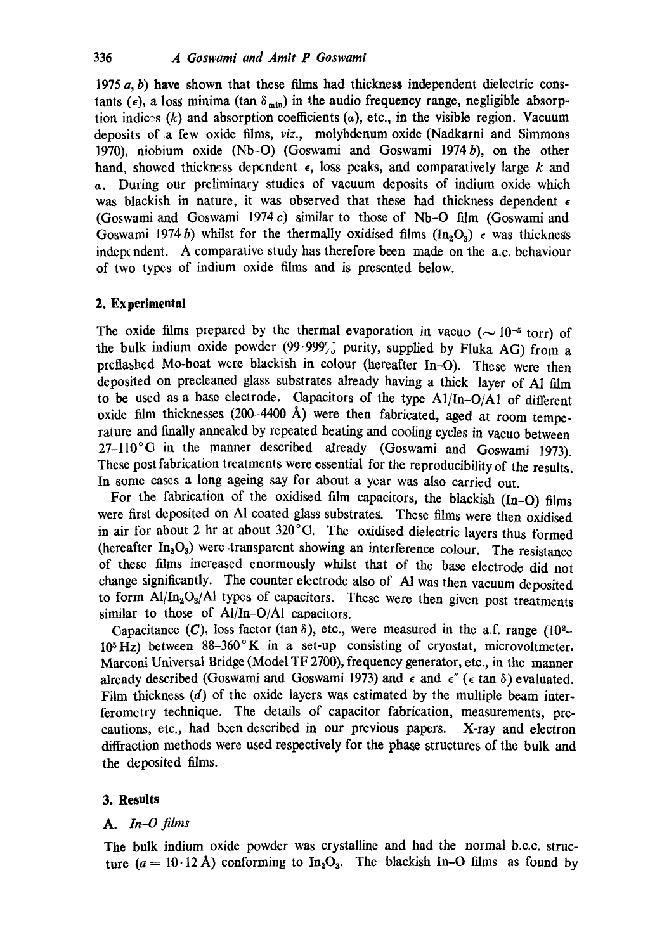1975  $a, b$ ) have shown that these films had thickness independent dielectric constants ( $\epsilon$ ), a loss minima (tan  $\delta_{\min}$ ) in the audio frequency range, negligible absorption indices  $(k)$  and absorption coefficients  $(a)$ , etc., in the visible region. Vacuum deposits of a few oxide films, *viz.,* molybdenum oxide (Nadkarni and Simmons 1970), niobium oxide (Nb-O) (Goswami and Goswami 1974b), on the other hand, showed thickness dependent  $\epsilon$ , loss peaks, and comparatively large k and a. During our preliminary studies of vacuum deposits of indium oxide which was blackish in nature, it was observed that these had thickness dependent  $\epsilon$ (Goswami and Goswami 1974 $c$ ) similar to those of Nb-O film (Goswami and Goswami 1974 b) whilst for the thermally oxidised films  $(In_2O_3) \in$  was thickness indepcndent. A comparative study has therefore been made on the a.c. behaviour of two types of indium oxide films and is presented below.

#### **2. Experimental**

The oxide films prepared by the thermal evaporation in vacuo ( $\sim 10^{-5}$  torr) of the bulk indium oxide powder (99.999°) purity, supplied by Fluka AG) from a preflashed Mo-boat were blackish in colour (hereafter In-O). These were then deposited on precleaned glass substrates already having a thick layer of A1 film to be used as a base electrode. Capacitors of the type A1/In-O/A1 of different oxide film thicknesses (200-4400 A) were then fabricated, aged at room temperature and finally annealed by repeated heating and cooling cycles in vacuo between  $27-110^{\circ}$ C in the manner described already (Goswami and Goswami 1973). These post fabrication treatments were essential for the reproducibility of the results. In some cases a long ageing say for about a year was also carried out.

For the fabrication of the oxidised film capacitors, the blackish (In-O) films were first deposited on A1 coated glass substrates. These films were then oxidised in air for about 2 hr at about  $320^{\circ}$ C. The oxidised dielectric layers thus formed (hereafter  $In_2O_3$ ) were transparent showing an interference colour. The resistance of these films increased enormously whilst that of the base electrode did not change significantly. The counter electrode also of A1 was then vacuum deposited to form  $Al/In_2O_3/Al$  types of capacitors. These were then given post treatments similar to those of Al/In-O/Al capacitors.

Capacitance (C), loss factor (tan  $\delta$ ), etc., were measured in the a.f. range (10<sup>2</sup>- $10<sup>5</sup>$  Hz) between  $88-360$ ° K in a set-up consisting of cryostat, microvoltmeter. Marconi Universal Bridge (Model TF 2700), frequency generator, etc., in the manner already described (Goswami and Goswami 1973) and  $\epsilon$  and  $\epsilon''$  ( $\epsilon$  tan  $\delta$ ) evaluated. Film thickness (d) of the oxide layers was estimated by the multiple beam interferomctry technique. The details of capacitor fabrication, measurements, precautions, etc., had been described in our previous papers. X-ray and electron diffraction methods were used respectively for the phase structures of the bulk and the deposited films.

#### **3. Results**

#### *A. In-O films*

**The** bulk indium oxide powder was crystalline and had the normal b.e.c, structure ( $a = 10.12$  Å) conforming to In<sub>2</sub>O<sub>3</sub>. The blackish In-O films as found by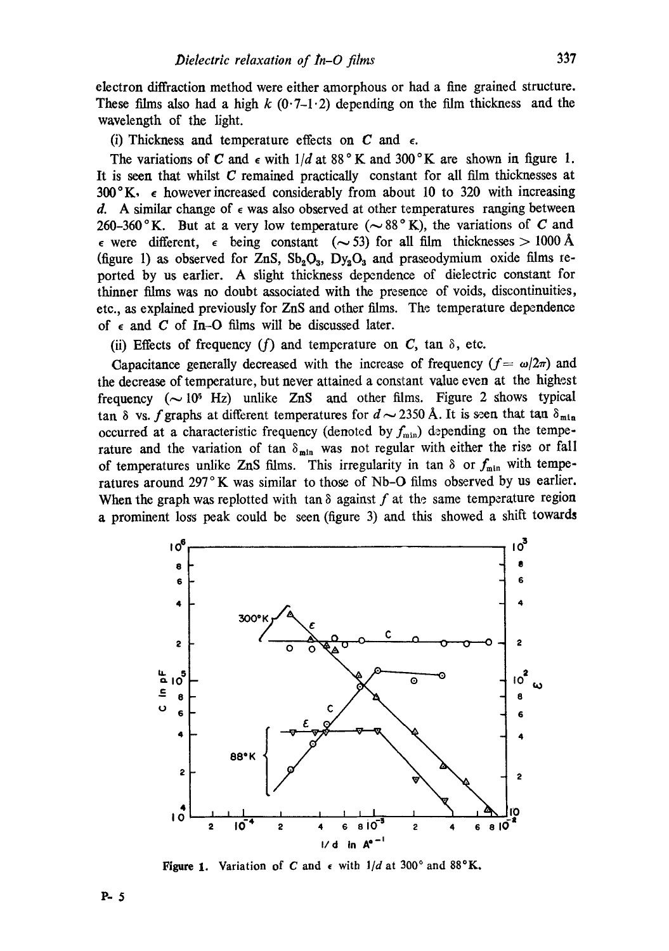electron diffraction method were either amorphous or had a fine grained structure. These films also had a high k  $(0.7-1.2)$  depending on the film thickness and the wavelength of the light.

(i) Thickness and temperature effects on  $C$  and  $\epsilon$ .

The variations of C and  $\epsilon$  with  $1/d$  at 88°K and 300°K are shown in figure 1. It is seen that whilst  $C$  remained practically constant for all film thicknesses at  $300^\circ$ K,  $\epsilon$  however increased considerably from about 10 to 320 with increasing d. A similar change of  $\epsilon$  was also observed at other temperatures ranging between 260-360 °K. But at a very low temperature ( $\sim 88$  °K), the variations of C and  $\epsilon$  were different,  $\epsilon$  being constant ( $\sim$  53) for all film thicknesses > 1000 Å (figure 1) as observed for ZnS,  $Sb_2O_3$ ,  $Dy_2O_3$  and praseodymium oxide films reported by us earlier. A slight thickness dependence of dielectric constant for thinner films was no doubt associated with the presence of voids, discontinuities, etc., as explained previously for ZnS and other films. The temperature dependence of  $\epsilon$  and C of In-O films will be discussed later.

(ii) Effects of frequency (f) and temperature on C, tan  $\delta$ , etc.

Capacitance generally decreased with the increase of frequency  $(f = \omega/2\pi)$  and the decrease of temperature, but never attained a constant value even at the highest frequency  $({\sim}10^5 \text{ Hz})$  unlike ZnS and other films. Figure 2 shows typical tan  $\delta$  vs. f graphs at different temperatures for  $d \sim 2350$  Å. It is seen that tan  $\delta_{\text{min}}$ occurred at a characteristic frequency (denoted by  $f_{\min}$ ) depending on the temperature and the variation of tan  $\delta_{\min}$  was not regular with either the rise or fall of temperatures unlike ZnS films. This irregularity in tan  $\delta$  or  $f_{min}$  with temperatures around 297°K was similar to those of Nb–O films observed by us earlier. When the graph was replotted with tan  $\delta$  against f at the same temperature region a prominent loss peak could be seen (figure 3) and this showed a shift towards



**Figure 1.** Variation of C and  $\epsilon$  with  $1/d$  at 300° and 88°K.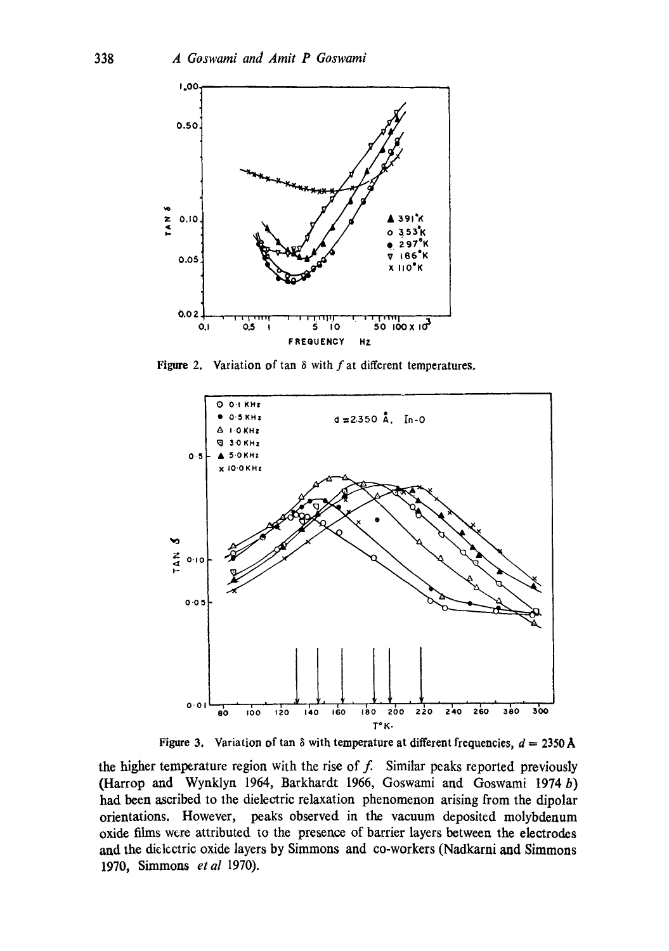

Figure 2. Variation of  $\tan \delta$  with f at different temperatures.



Figure 3. Variation of tan  $\delta$  with temperature at different frequencies,  $d = 2350 \text{ Å}$ 

the higher temperature region with the rise of  $f$ . Similar peaks reported previously (Harrop and Wynklyn 1964, Barkhardt 1966, Goswami and Goswami 1974 b) had been ascribed to the dielectric relaxation phenomenon arising from the dipolar orientations. However, peaks observed in the vacuum deposited molybdenum oxide films were attributed to the presence of barrier layers between the electrodes and the dielectric oxide layers by Simmons and co-workers (Nadkarni and Simmons 1970, Simmons et al 1970).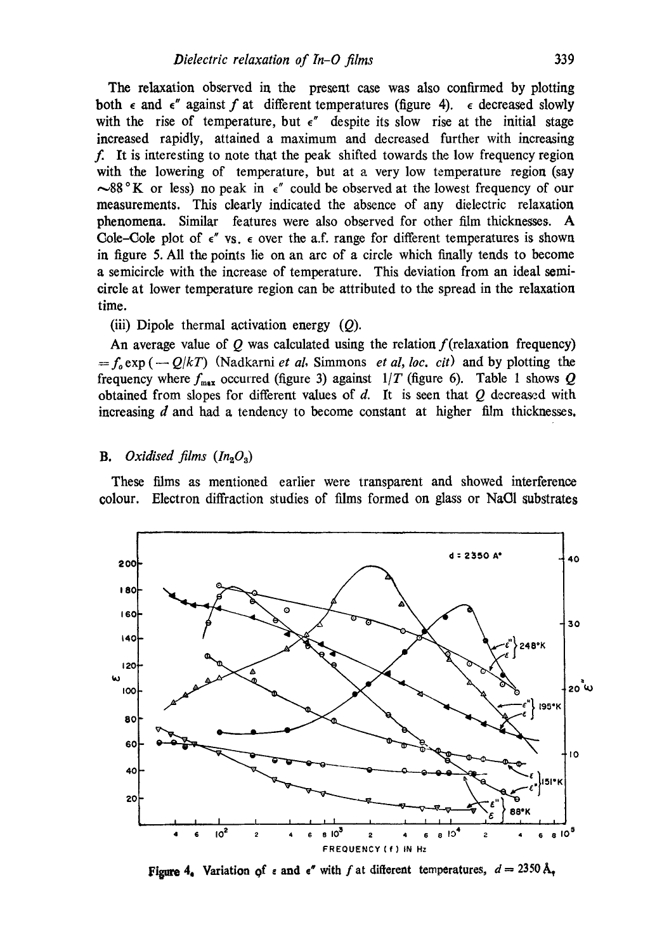The relaxation observed in the present case was also confirmed by plotting both  $\epsilon$  and  $\epsilon''$  against f at different temperatures (figure 4).  $\epsilon$  decreased slowly with the rise of temperature, but  $\epsilon$ " despite its slow rise at the initial stage increased rapidly, attained a maximum and decreased further with increasing f. It is interesting to note that the peak shifted towards the low frequency region with the lowering of temperature, but at a very low temperature region (say  $\sim$ 88 ° K or less) no peak in  $\epsilon$ " could be observed at the lowest frequency of our measurements. This dearly indicated the absence of any dielectric relaxation phenomena. Similar features were also observed for other film thicknesses. A Cole-Cole plot of  $\epsilon''$  vs.  $\epsilon$  over the a.f. range for different temperatures is shown in figure 5. All the points lie on an arc of a circle which finally tends to become a semicircle with the increase of temperature. This deviation from an ideal semicircle at lower temperature region can be attributed to the spread in the relaxation time.

### (iii) Dipole thermal activation energy  $(Q)$ .

An average value of  $Q$  was calculated using the relation  $f$ (relaxation frequency)  $=f_0 \exp(-Q/kT)$  (Nadkarni *et al.* Simmons *et al, loc. cit)* and by plotting the frequency where  $f_{\text{max}}$  occurred (figure 3) against  $1/T$  (figure 6). Table 1 shows Q obtained from slopes for different values of  $d$ . It is seen that  $Q$  decreased with increasing  $d$  and had a tendency to become constant at higher film thicknesses.

## **B.** Oxidised films  $(In_2O_3)$

These films as mentioned earlier were transparent and showed interference colour. Electron diffraction studies of films formed on glass or NaOl substrates



Figure 4. Variation of  $\epsilon$  and  $\epsilon''$  with f at different temperatures,  $d = 2350 \, \text{Å}_\tau$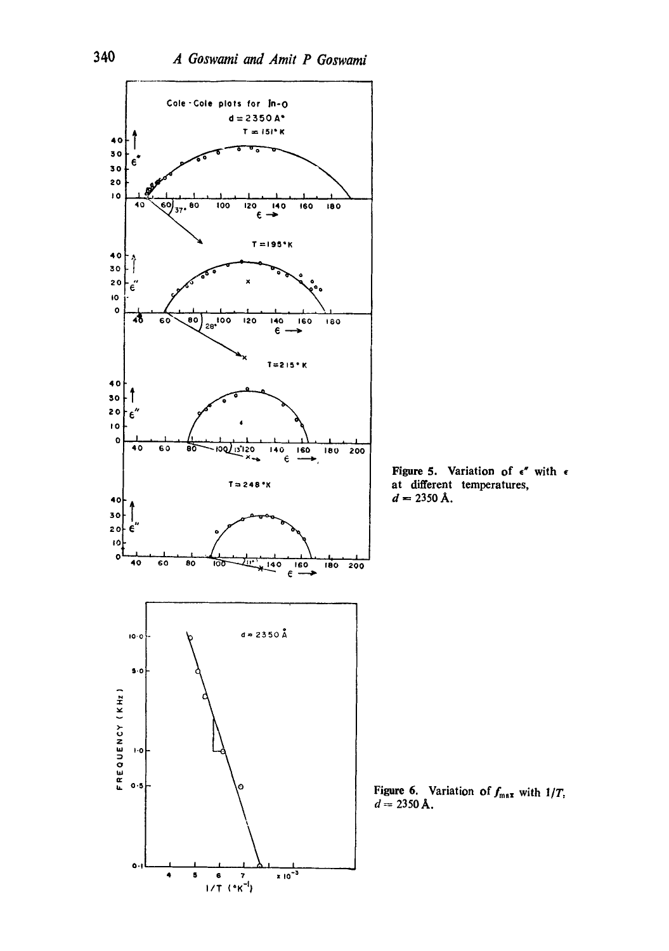

Figure 5. Variation of  $\epsilon''$  with  $\epsilon$ at different temperatures,  $d = 2350 \text{ Å}.$ 

Figure 6. Variation of  $f_{\text{max}}$  with  $1/T$ ,  $d = 2350 \text{ Å}.$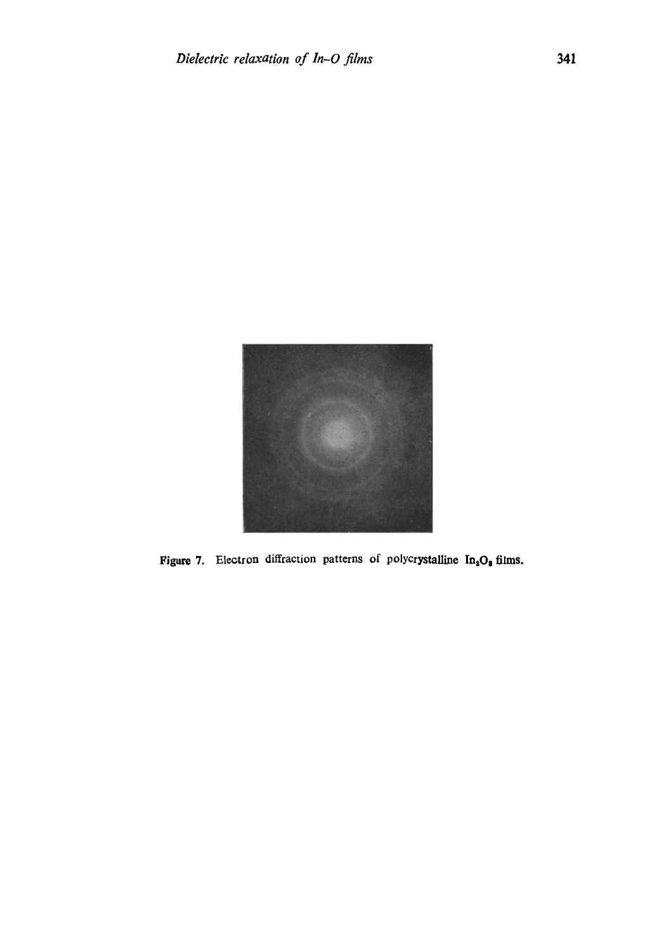

Figure 7. Electron diffraction patterns of polycrystalline  $In_2O_8$  films.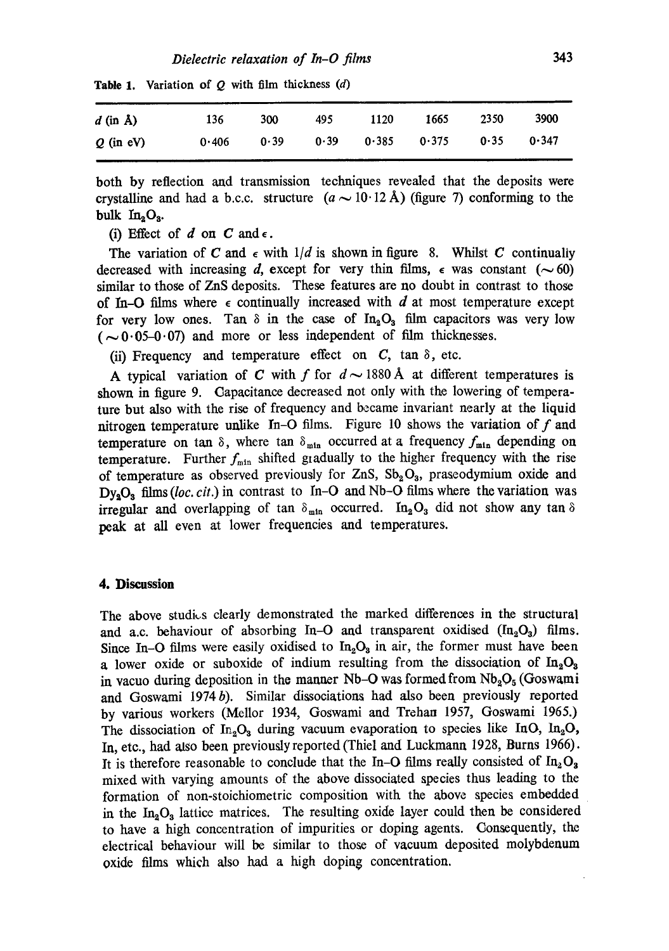| $d$ (in $\AA$ ) | 136   | 300  | 495 | 1120                   | 1665 | 2350 | 3900  |
|-----------------|-------|------|-----|------------------------|------|------|-------|
| $Q$ (in eV)     | 0.406 | 0.39 |     | $0.39$ $0.385$ $0.375$ |      | 0.35 | 0.347 |

**Table** 1. Variation of Q with film thickness (d)

both by reflection and transmission techniques revealed that the deposits were crystalline and had a b.c.c. structure  $(a \sim 10.12 \text{ Å})$  (figure 7) conforming to the bulk  $In_2O_3$ .

(i) Effect of d on C and  $\epsilon$ .

The variation of C and  $\epsilon$  with  $1/d$  is shown in figure 8. Whilst C continually decreased with increasing d, except for very thin films,  $\epsilon$  was constant ( $\sim$  60) similar to those of ZnS deposits. These features are no doubt in contrast to those of In-O films where  $\epsilon$  continually increased with d at most temperature except for very low ones. Tan  $\delta$  in the case of In<sub>3</sub>O<sub>3</sub> film capacitors was very low  $(-0.05-0.07)$  and more or less independent of film thicknesses.

(ii) Frequency and temperature effect on  $C$ , tan  $\delta$ , etc.

A typical variation of C with f for  $d \sim 1880$  Å at different temperatures is shown in figure 9. Capacitance decreased not only with the lowering of temperature but also with the rise of frequency and became invariant nearly at the liquid nitrogen temperature unlike In-O films. Figure 10 shows the variation of  $f$  and temperature on tan  $\delta$ , where tan  $\delta_{\text{min}}$  occurred at a frequency  $f_{\text{min}}$  depending on temperature. Further  $f_{\min}$  shifted gradually to the higher frequency with the rise of temperature as observed previously for ZnS,  $Sb_2O_3$ , praseodymium oxide and  $Dy_2O_3$  films (loc, cit.) in contrast to In-O and Nb-O films where the variation was irregular and overlapping of tan  $\delta_{\min}$  occurred. In<sub>2</sub>O<sub>3</sub> did not show any tan  $\delta$ peak at all even at lower frequencies and temperatures.

#### **4. Discassion**

The above studies clearly demonstrated the marked differences in the structural and a.c. behaviour of absorbing In-O and transparent oxidised  $(In_2O_3)$  films. Since In-O films were easily oxidised to  $In_2O_3$  in air, the former must have been a lower oxide or suboxide of indium resulting from the dissociation of  $In_2O_3$ in vacuo during deposition in the manner Nb-O was formed from  $Nb<sub>2</sub>O<sub>5</sub>$  (Goswami and Goswami 1974b). Similar dissociations had also been previously reported by various workers (Mellor 1934, Goswami and Trehan 1957, Goswami 1965.) The dissociation of  $In_2O_3$  during vacuum evaporation to species like InO,  $In_2O$ , In, etc., had also been previously reported (Thiel and Luckmann 1928, Burns 1966). It is therefore reasonable to conclude that the In-O films really consisted of  $In_2O_3$ mixed with varying amounts of the above dissociated species thus leading to the formation of non-stoichiometric composition with the above species embedded in the  $In_2O_3$  lattice matrices. The resulting oxide layer could then be considered to have a high concentration of impurities or doping agents. Consequently, the electrical behaviour will be similar to those of vacuum deposited molybdenum oxide films which also had a high doping concentration.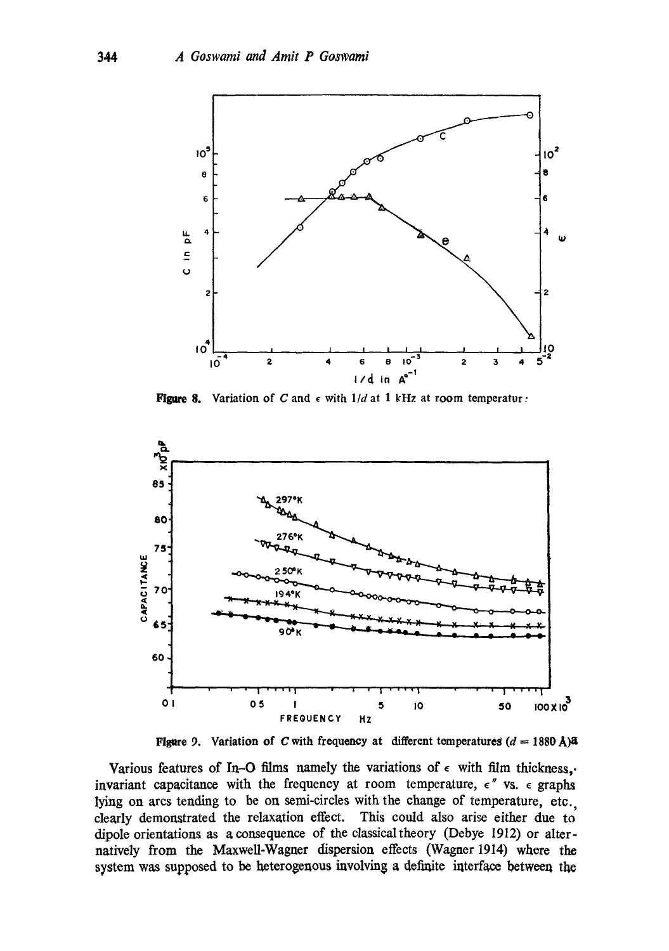

Figure 8. Variation of C and  $\epsilon$  with  $1/d$  at 1 kHz at room temperatur:



Figure 9. Variation of C with frequency at different temperatures  $(d = 1880 \text{ Å})$ 

Various features of In-O films namely the variations of  $\epsilon$  with film thickness,. invariant capacitance with the frequency at room temperature,  $\epsilon$  '' vs.  $\epsilon$  graphs lying on arcs tending to be on semi-circles with the change of temperature, etc. clearly demonstrated the relaxation effect. This could also arise either due to dipole orientations as a consequence of the classical theory (Debye 1912) or alternatively from the Maxwell-Wagner dispersion effects (Wagner 1914) where the system was supposed to be heterogenous involving a definite interface between the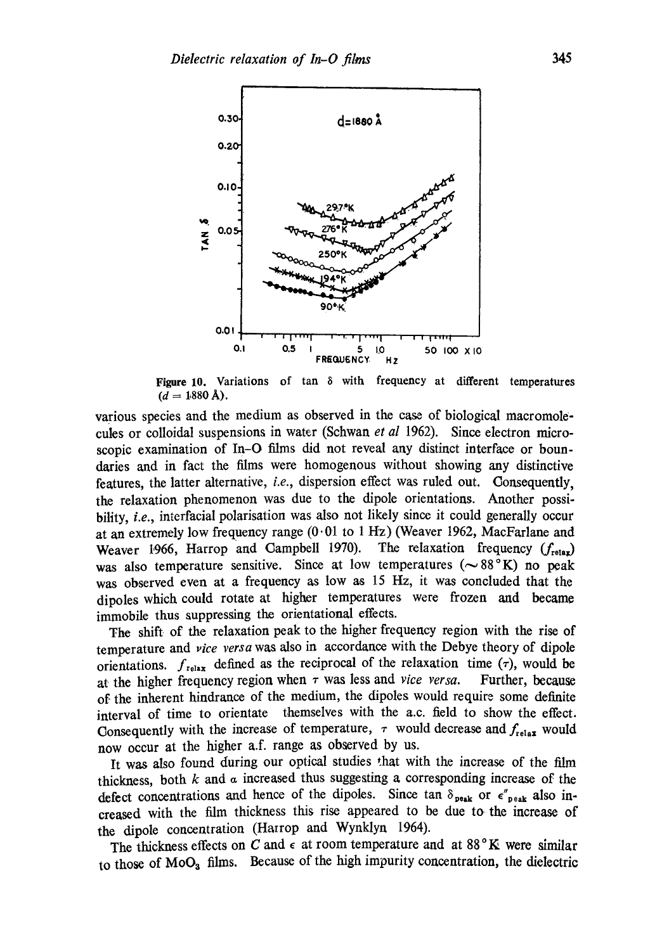

Figure 10. Variations of tan  $\delta$  with frequency at different temperatures  $(d = 1880 \text{ Å}).$ 

various species and the medium as observed in the case of biological macromolecules or colloidal suspensions in water (Schwan *et al* 1962). Since electron microscopic examination of In-O films did not reveal any distinct interface or boundaries and in fact the films were homogenous without showing any distinctive features, the latter alternative, *i.e.,* dispersion effect was ruled out. Consequently, the relaxation phenomenon was due to the dipole orientations. Another possibility, *i.e.*, interfacial polarisation was also not likely since it could generally occur at an extremely low frequency range  $(0.01$  to 1 Hz) (Weaver 1962, MacFarlane and Weaver 1966, Harrop and Campbell 1970). The relaxation frequency  $(f_{\text{relax}})$ was also temperature sensitive. Since at low temperatures ( $\sim 88^\circ \text{K}$ ) no peak was observed even at a frequency as low as 15 Hz, it was concluded that the dipoles which could rotate at higher temperatures were frozen and became immobile thus suppressing the orientational effects.

The shift of the relaxation peak to the higher frequency region with the rise of temperature and *vice versa* was also in accordance with the Debye theory of dipole orientations.  $f_{relax}$  defined as the reciprocal of the relaxation time ( $\tau$ ), would be at the higher frequency region when  $\tau$  was less and *vice versa*. Further, because of the inherent hindrance of the medium, the dipoles would require some definite interval of time to orientate themselves with the a.c. field to show the effect. Consequently with the increase of temperature,  $\tau$  would decrease and  $f_{relax}$  would now occur at the higher a.f. range as observed by us.

It was also found during our optical studies that with the increase of the film thickness, both  $k$  and  $\alpha$  increased thus suggesting a corresponding increase of the defect concentrations and hence of the dipoles. Since tan  $\delta_{\text{peak}}$  or  $\epsilon''_{\text{peak}}$  also increased with the film thickness this rise appeared to be due to the increase of the dipole concentration (Hatrop and Wynklyn 1964).

The thickness effects on C and  $\epsilon$  at room temperature and at 88°K were similar to those of MoOz films. Because of the high impurity concentration, the dielectric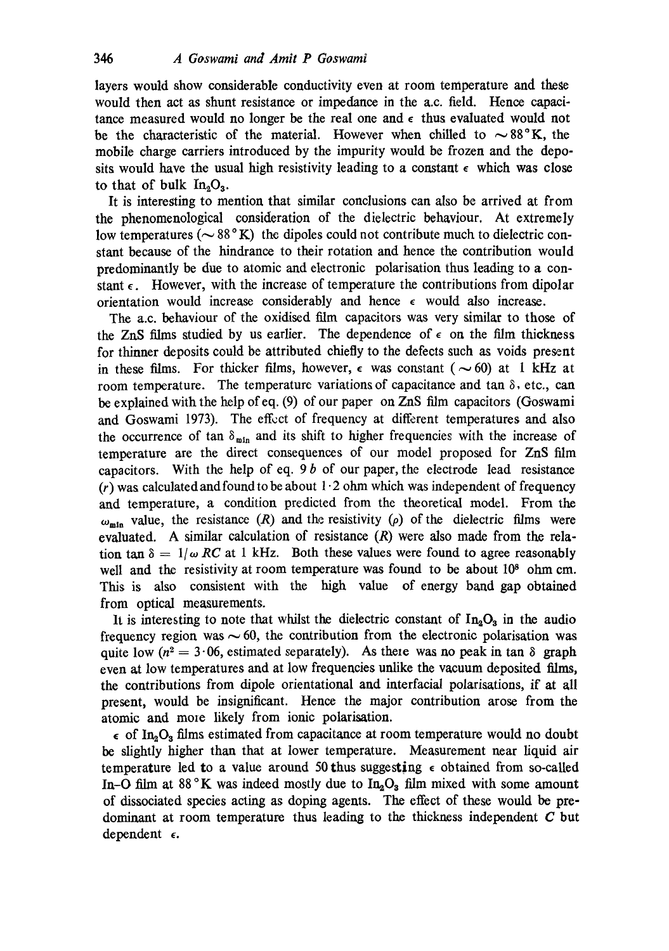layers would show considerable conductivity even at room temperature and these would then act as shunt resistance or impedance in the a.c. field. Hence capacitance measured would no longer be the real one and  $\epsilon$  thus evaluated would not be the characteristic of the material. However when chilled to  $\sim 88^{\circ}$ K, the mobile charge carriers introduced by the impurity would be frozen and the deposits would have the usual high resistivity leading to a constant  $\epsilon$  which was close to that of bulk  $In_2O_3$ .

It is interesting to mention that similar conclusions can also be arrived at from the phenomenological consideration of the dielectric behaviour. At extremely low temperatures ( $\sim 88^\circ$ K) the dipoles could not contribute much to dielectric constant because of the hindrance to their rotation and hence the contribution would predominantly be due to atomic and electronic polarisation thus leading to a constant  $\epsilon$ . However, with the increase of temperature the contributions from dipolar orientation would increase considerably and hence  $\epsilon$  would also increase.

The a.c. behaviour of the oxidised film capacitors was very similar to those of the ZnS films studied by us earlier. The dependence of  $\epsilon$  on the film thickness for thinner deposits could be attributed chiefly to the defects such as voids present in these films. For thicker films, however,  $\epsilon$  was constant ( $\sim$  60) at 1 kHz at room temperature. The temperature variations of capacitance and tan  $\delta$ , etc., can be explained with the help ofeq. (9) of our paper on ZnS film capacitors (Goswami and Goswami 1973). The effect of frequency at different temperatures and also the occurrence of tan  $\delta_{\min}$  and its shift to higher frequencies with the increase of temperature are the direct consequences of our model proposed for ZnS film capacitors. With the help of eq.  $9 b$  of our paper, the electrode lead resistance  $(r)$  was calculated and found to be about  $1.2$  ohm which was independent of frequency and temperature, a condition predicted from the theoretical model. From the  $\omega_{\text{min}}$  value, the resistance (R) and the resistivity ( $\rho$ ) of the dielectric films were evaluated. A similar calculation of resistance  $(R)$  were also made from the relation tan  $\delta = 1/\omega$  *RC* at 1 kHz. Both these values were found to agree reasonably well and the resistivity at room temperature was found to be about 10<sup>8</sup> ohm cm. This is also consistent with the high value of energy band gap obtained from optical measurements.

It is interesting to note that whilst the dielectric constant of  $In_2O_3$  in the audio frequency region was  $\sim 60$ , the contribution from the electronic polarisation was quite low ( $n^2 = 3.06$ , estimated separately). As there was no peak in tan  $\delta$  graph even at low temperatures and at low frequencies unlike the vacuum deposited films, the contributions from dipole orientational and interfacial polarisations, if at all present, would be insignificant. Hence the major contribution arose from the atomic and more likely from ionic polarisation.

 $\epsilon$  of In<sub>2</sub>O<sub>3</sub> films estimated from capacitance at room temperature would no doubt be slightly higher than that at lower temperature. Measurement near liquid air temperature led to a value around 50 thus suggesting  $\epsilon$  obtained from so-called In-O film at 88 °K was indeed mostly due to  $In_2O_3$  film mixed with some amount of dissociated species acting as doping agents. The effect of these would be predominant at room temperature thus leading to the thickness independent  $C$  but dependent  $\epsilon$ .